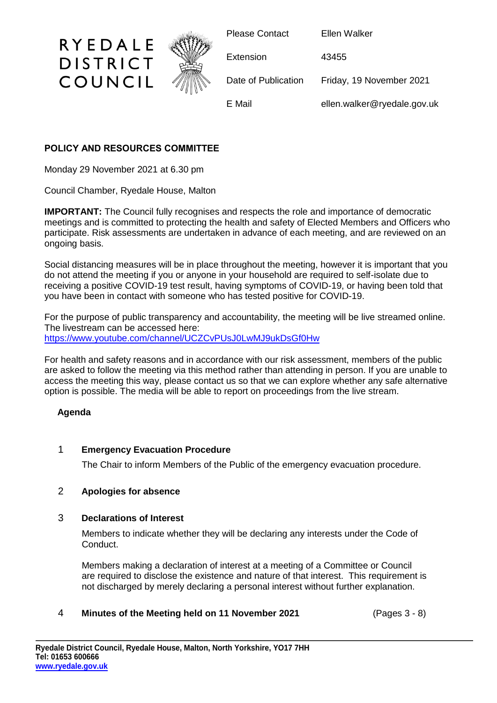

# **POLICY AND RESOURCES COMMITTEE**

Monday 29 November 2021 at 6.30 pm

Council Chamber, Ryedale House, Malton

**IMPORTANT:** The Council fully recognises and respects the role and importance of democratic meetings and is committed to protecting the health and safety of Elected Members and Officers who participate. Risk assessments are undertaken in advance of each meeting, and are reviewed on an ongoing basis.

Social distancing measures will be in place throughout the meeting, however it is important that you do not attend the meeting if you or anyone in your household are required to self-isolate due to receiving a positive COVID-19 test result, having symptoms of COVID-19, or having been told that you have been in contact with someone who has tested positive for COVID-19.

For the purpose of public transparency and accountability, the meeting will be live streamed online. The livestream can be accessed here: <https://www.youtube.com/channel/UCZCvPUsJ0LwMJ9ukDsGf0Hw>

For health and safety reasons and in accordance with our risk assessment, members of the public are asked to follow the meeting via this method rather than attending in person. If you are unable to access the meeting this way, please contact us so that we can explore whether any safe alternative option is possible. The media will be able to report on proceedings from the live stream.

### **Agenda**

# 1 **Emergency Evacuation Procedure**

The Chair to inform Members of the Public of the emergency evacuation procedure.

# 2 **Apologies for absence**

### 3 **Declarations of Interest**

Members to indicate whether they will be declaring any interests under the Code of Conduct.

Members making a declaration of interest at a meeting of a Committee or Council are required to disclose the existence and nature of that interest. This requirement is not discharged by merely declaring a personal interest without further explanation.

### 4 **Minutes of the Meeting held on 11 November 2021** (Pages 3 - 8)